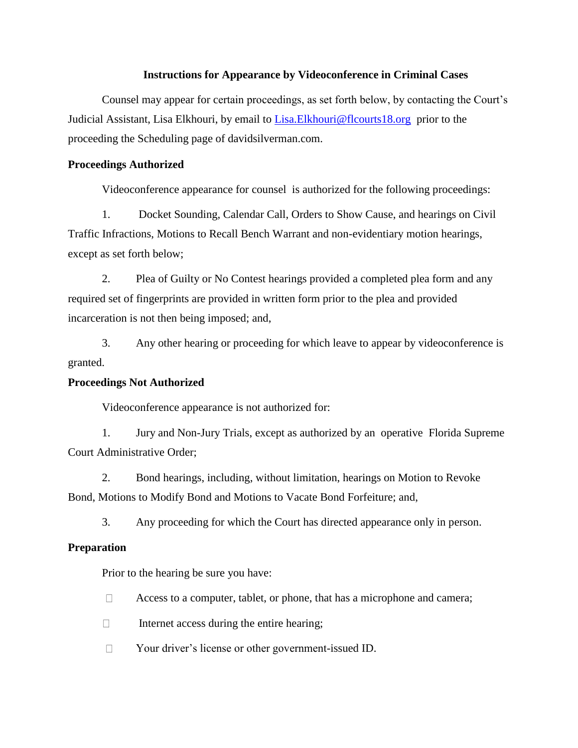## **Instructions for Appearance by Videoconference in Criminal Cases**

Counsel may appear for certain proceedings, as set forth below, by contacting the Court's Judicial Assistant, Lisa Elkhouri, by email to [Lisa.Elkhouri@flcourts18.org](mailto:Lisa.Elkhouri@flcourts18.org) prior to the proceeding the Scheduling page of davidsilverman.com.

## **Proceedings Authorized**

Videoconference appearance for counsel is authorized for the following proceedings:

1. Docket Sounding, Calendar Call, Orders to Show Cause, and hearings on Civil Traffic Infractions, Motions to Recall Bench Warrant and non-evidentiary motion hearings, except as set forth below;

2. Plea of Guilty or No Contest hearings provided a completed plea form and any required set of fingerprints are provided in written form prior to the plea and provided incarceration is not then being imposed; and,

3. Any other hearing or proceeding for which leave to appear by videoconference is granted.

# **Proceedings Not Authorized**

Videoconference appearance is not authorized for:

1. Jury and Non-Jury Trials, except as authorized by an operative Florida Supreme Court Administrative Order;

2. Bond hearings, including, without limitation, hearings on Motion to Revoke Bond, Motions to Modify Bond and Motions to Vacate Bond Forfeiture; and,

3. Any proceeding for which the Court has directed appearance only in person.

# **Preparation**

Prior to the hearing be sure you have:

- $\Box$ Access to a computer, tablet, or phone, that has a microphone and camera;
- $\Box$ Internet access during the entire hearing;
- $\Box$ Your driver's license or other government-issued ID.